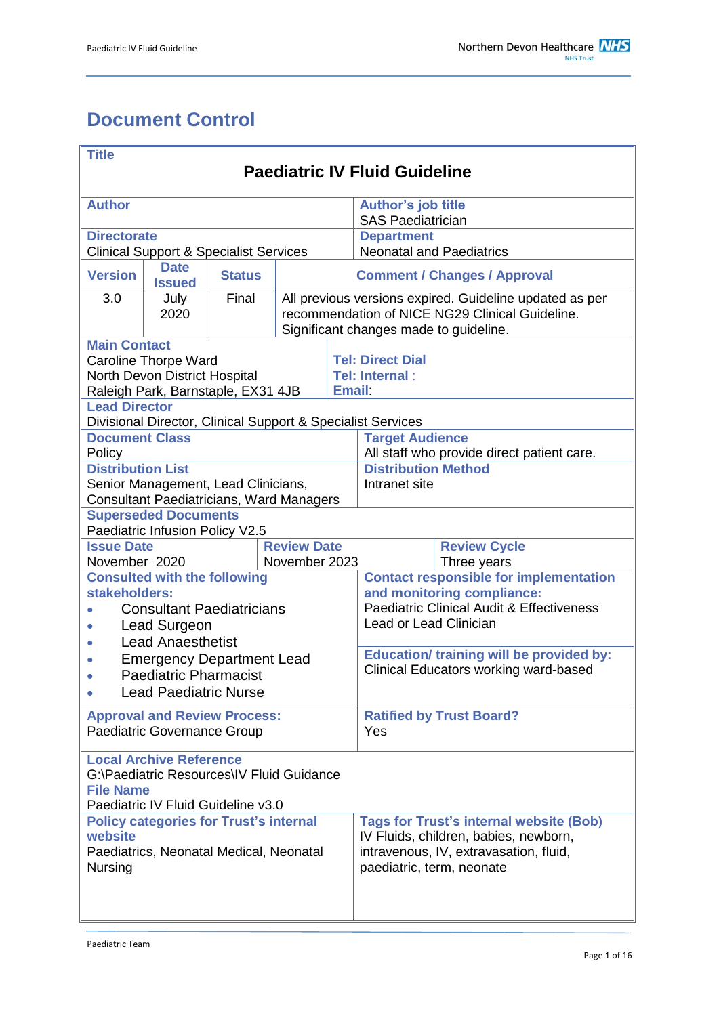# <span id="page-0-0"></span>**Document Control**

| <b>Title</b><br><b>Paediatric IV Fluid Guideline</b>                                                                                              |                                                                |               |                                                                                                                                                      |                                    |                                                                                                                                                                |  |  |
|---------------------------------------------------------------------------------------------------------------------------------------------------|----------------------------------------------------------------|---------------|------------------------------------------------------------------------------------------------------------------------------------------------------|------------------------------------|----------------------------------------------------------------------------------------------------------------------------------------------------------------|--|--|
| <b>Author</b>                                                                                                                                     |                                                                |               |                                                                                                                                                      |                                    | Author's job title<br><b>SAS Paediatrician</b>                                                                                                                 |  |  |
| <b>Directorate</b><br><b>Clinical Support &amp; Specialist Services</b>                                                                           |                                                                |               |                                                                                                                                                      |                                    | <b>Department</b><br><b>Neonatal and Paediatrics</b>                                                                                                           |  |  |
| <b>Version</b>                                                                                                                                    | <b>Date</b><br><b>Issued</b>                                   | <b>Status</b> | <b>Comment / Changes / Approval</b>                                                                                                                  |                                    |                                                                                                                                                                |  |  |
| 3.0                                                                                                                                               | July<br>2020                                                   | Final         | All previous versions expired. Guideline updated as per<br>recommendation of NICE NG29 Clinical Guideline.<br>Significant changes made to guideline. |                                    |                                                                                                                                                                |  |  |
| <b>Main Contact</b><br><b>Caroline Thorpe Ward</b><br>North Devon District Hospital<br>Raleigh Park, Barnstaple, EX31 4JB<br><b>Email:</b>        |                                                                |               |                                                                                                                                                      |                                    | <b>Tel: Direct Dial</b><br>Tel: Internal:                                                                                                                      |  |  |
| <b>Lead Director</b>                                                                                                                              |                                                                |               |                                                                                                                                                      |                                    | Divisional Director, Clinical Support & Specialist Services                                                                                                    |  |  |
| <b>Document Class</b><br>Policy                                                                                                                   |                                                                |               |                                                                                                                                                      |                                    | <b>Target Audience</b><br>All staff who provide direct patient care.                                                                                           |  |  |
| <b>Distribution List</b><br>Senior Management, Lead Clinicians,<br><b>Consultant Paediatricians, Ward Managers</b>                                |                                                                |               |                                                                                                                                                      |                                    | <b>Distribution Method</b><br>Intranet site                                                                                                                    |  |  |
|                                                                                                                                                   | <b>Superseded Documents</b><br>Paediatric Infusion Policy V2.5 |               |                                                                                                                                                      |                                    |                                                                                                                                                                |  |  |
| <b>Review Date</b><br><b>Issue Date</b><br>November 2020<br>November 2023                                                                         |                                                                |               |                                                                                                                                                      | <b>Review Cycle</b><br>Three years |                                                                                                                                                                |  |  |
| <b>Consulted with the following</b><br>stakeholders:<br><b>Consultant Paediatricians</b><br>Lead Surgeon<br>$\bullet$<br><b>Lead Anaesthetist</b> |                                                                |               |                                                                                                                                                      |                                    | <b>Contact responsible for implementation</b><br>and monitoring compliance:<br><b>Paediatric Clinical Audit &amp; Effectiveness</b><br>Lead or Lead Clinician  |  |  |
| <b>Emergency Department Lead</b><br><b>Paediatric Pharmacist</b><br>$\bullet$<br><b>Lead Paediatric Nurse</b>                                     |                                                                |               |                                                                                                                                                      |                                    | <b>Education/ training will be provided by:</b><br><b>Clinical Educators working ward-based</b>                                                                |  |  |
| <b>Approval and Review Process:</b><br>Paediatric Governance Group                                                                                |                                                                |               |                                                                                                                                                      |                                    | <b>Ratified by Trust Board?</b><br>Yes                                                                                                                         |  |  |
| <b>Local Archive Reference</b><br>G:\Paediatric Resources\IV Fluid Guidance<br><b>File Name</b><br>Paediatric IV Fluid Guideline v3.0             |                                                                |               |                                                                                                                                                      |                                    |                                                                                                                                                                |  |  |
| <b>Policy categories for Trust's internal</b><br>website<br>Paediatrics, Neonatal Medical, Neonatal<br>Nursing                                    |                                                                |               |                                                                                                                                                      |                                    | <b>Tags for Trust's internal website (Bob)</b><br>IV Fluids, children, babies, newborn,<br>intravenous, IV, extravasation, fluid,<br>paediatric, term, neonate |  |  |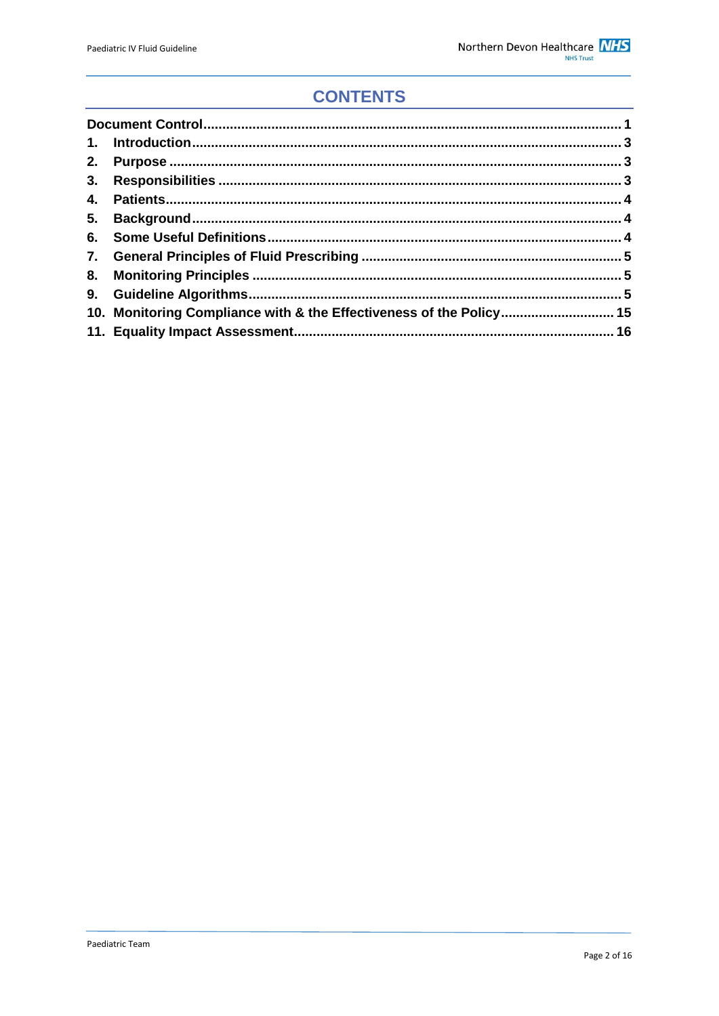# **CONTENTS**

| 5. |                                                                     |  |
|----|---------------------------------------------------------------------|--|
|    |                                                                     |  |
|    |                                                                     |  |
|    |                                                                     |  |
|    |                                                                     |  |
|    | 10. Monitoring Compliance with & the Effectiveness of the Policy 15 |  |
|    |                                                                     |  |
|    |                                                                     |  |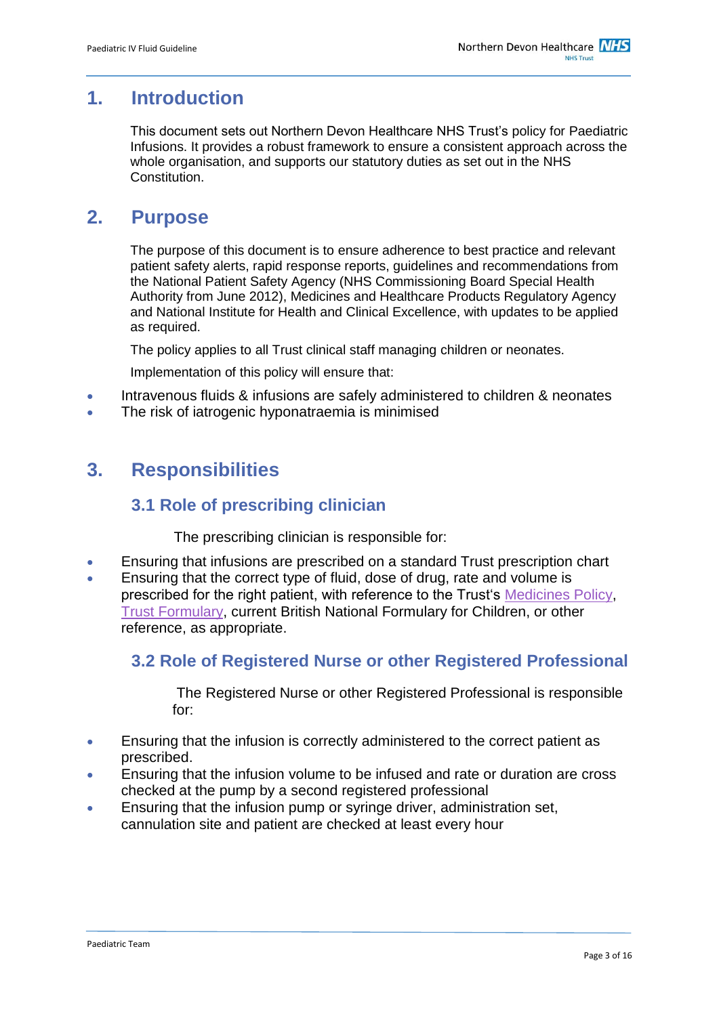## <span id="page-2-0"></span>**1. Introduction**

This document sets out Northern Devon Healthcare NHS Trust's policy for Paediatric Infusions. It provides a robust framework to ensure a consistent approach across the whole organisation, and supports our statutory duties as set out in the NHS Constitution.

# <span id="page-2-1"></span>**2. Purpose**

The purpose of this document is to ensure adherence to best practice and relevant patient safety alerts, rapid response reports, guidelines and recommendations from the National Patient Safety Agency (NHS Commissioning Board Special Health Authority from June 2012), Medicines and Healthcare Products Regulatory Agency and National Institute for Health and Clinical Excellence, with updates to be applied as required.

The policy applies to all Trust clinical staff managing children or neonates.

Implementation of this policy will ensure that:

- Intravenous fluids & infusions are safely administered to children & neonates
- The risk of iatrogenic hyponatraemia is minimised

## <span id="page-2-2"></span>**3. Responsibilities**

### **3.1 Role of prescribing clinician**

The prescribing clinician is responsible for:

- Ensuring that infusions are prescribed on a standard Trust prescription chart
- Ensuring that the correct type of fluid, dose of drug, rate and volume is prescribed for the right patient, with reference to the Trust's [Medicines Policy,](http://ndht.ndevon.swest.nhs.uk/policies/?p=2144) [Trust Formulary,](http://www.northdevonhealth.nhs.uk/ndht/departments/clinical_support/pharmacy/FORMULARIES/HF%20-%20Contents.htm) current British National Formulary for Children, or other reference, as appropriate.

### **3.2 Role of Registered Nurse or other Registered Professional**

The Registered Nurse or other Registered Professional is responsible for:

- **Ensuring that the infusion is correctly administered to the correct patient as** prescribed.
- Ensuring that the infusion volume to be infused and rate or duration are cross checked at the pump by a second registered professional
- Ensuring that the infusion pump or syringe driver, administration set, cannulation site and patient are checked at least every hour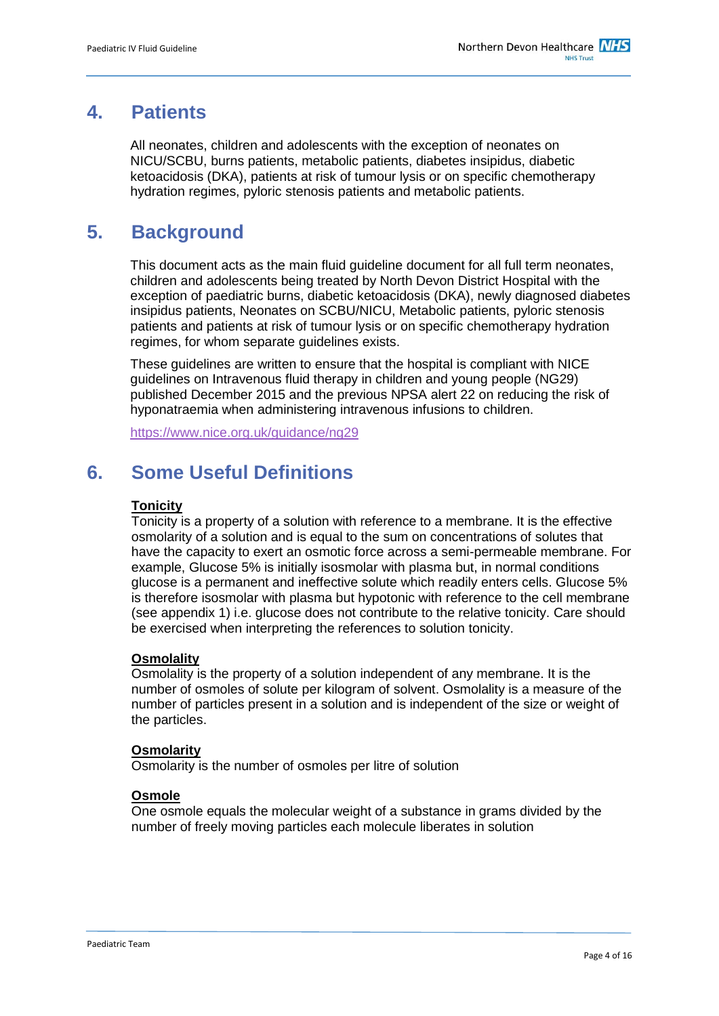## <span id="page-3-0"></span>**4. Patients**

All neonates, children and adolescents with the exception of neonates on NICU/SCBU, burns patients, metabolic patients, diabetes insipidus, diabetic ketoacidosis (DKA), patients at risk of tumour lysis or on specific chemotherapy hydration regimes, pyloric stenosis patients and metabolic patients.

## <span id="page-3-1"></span>**5. Background**

This document acts as the main fluid guideline document for all full term neonates, children and adolescents being treated by North Devon District Hospital with the exception of paediatric burns, diabetic ketoacidosis (DKA), newly diagnosed diabetes insipidus patients, Neonates on SCBU/NICU, Metabolic patients, pyloric stenosis patients and patients at risk of tumour lysis or on specific chemotherapy hydration regimes, for whom separate guidelines exists.

These guidelines are written to ensure that the hospital is compliant with NICE guidelines on Intravenous fluid therapy in children and young people (NG29) published December 2015 and the previous NPSA alert 22 on reducing the risk of hyponatraemia when administering intravenous infusions to children.

<https://www.nice.org.uk/guidance/ng29>

# <span id="page-3-2"></span>**6. Some Useful Definitions**

#### **Tonicity**

Tonicity is a property of a solution with reference to a membrane. It is the effective osmolarity of a solution and is equal to the sum on concentrations of solutes that have the capacity to exert an osmotic force across a semi-permeable membrane. For example, Glucose 5% is initially isosmolar with plasma but, in normal conditions glucose is a permanent and ineffective solute which readily enters cells. Glucose 5% is therefore isosmolar with plasma but hypotonic with reference to the cell membrane (see appendix 1) i.e. glucose does not contribute to the relative tonicity. Care should be exercised when interpreting the references to solution tonicity.

#### **Osmolality**

Osmolality is the property of a solution independent of any membrane. It is the number of osmoles of solute per kilogram of solvent. Osmolality is a measure of the number of particles present in a solution and is independent of the size or weight of the particles.

#### **Osmolarity**

Osmolarity is the number of osmoles per litre of solution

#### **Osmole**

One osmole equals the molecular weight of a substance in grams divided by the number of freely moving particles each molecule liberates in solution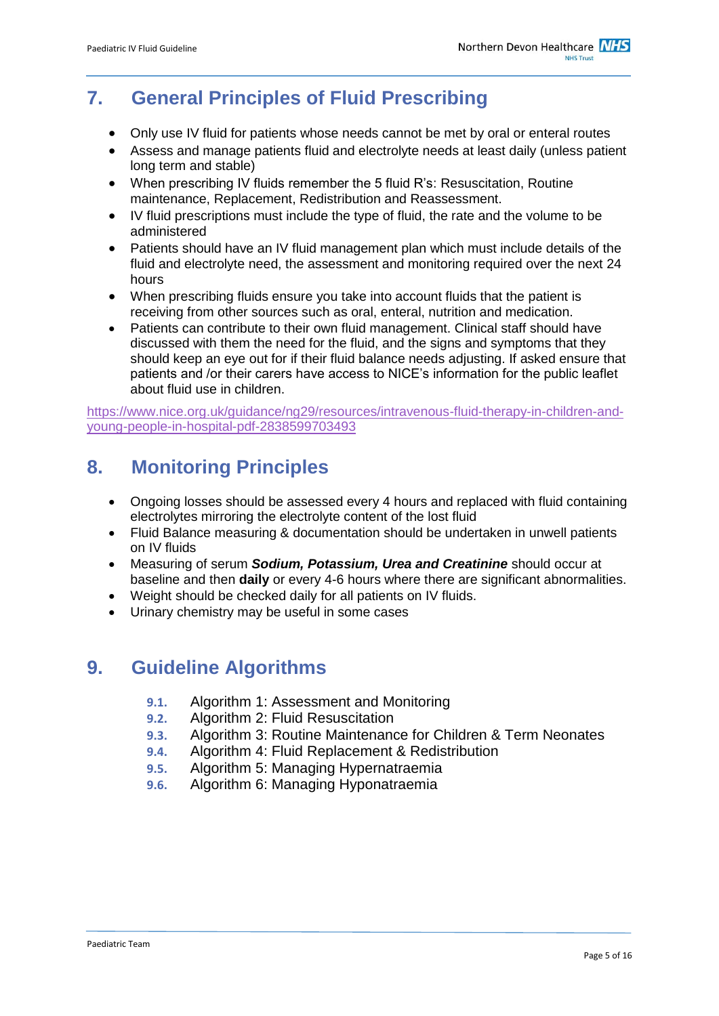# <span id="page-4-0"></span>**7. General Principles of Fluid Prescribing**

- Only use IV fluid for patients whose needs cannot be met by oral or enteral routes
- Assess and manage patients fluid and electrolyte needs at least daily (unless patient long term and stable)
- When prescribing IV fluids remember the 5 fluid R's: Resuscitation, Routine maintenance, Replacement, Redistribution and Reassessment.
- IV fluid prescriptions must include the type of fluid, the rate and the volume to be administered
- Patients should have an IV fluid management plan which must include details of the fluid and electrolyte need, the assessment and monitoring required over the next 24 hours
- When prescribing fluids ensure you take into account fluids that the patient is receiving from other sources such as oral, enteral, nutrition and medication.
- Patients can contribute to their own fluid management. Clinical staff should have discussed with them the need for the fluid, and the signs and symptoms that they should keep an eye out for if their fluid balance needs adjusting. If asked ensure that patients and /or their carers have access to NICE's information for the public leaflet about fluid use in children.

[https://www.nice.org.uk/guidance/ng29/resources/intravenous-fluid-therapy-in-children-and](https://www.nice.org.uk/guidance/ng29/resources/intravenous-fluid-therapy-in-children-and-young-people-in-hospital-pdf-2838599703493)[young-people-in-hospital-pdf-2838599703493](https://www.nice.org.uk/guidance/ng29/resources/intravenous-fluid-therapy-in-children-and-young-people-in-hospital-pdf-2838599703493)

# <span id="page-4-1"></span>**8. Monitoring Principles**

- Ongoing losses should be assessed every 4 hours and replaced with fluid containing electrolytes mirroring the electrolyte content of the lost fluid
- Fluid Balance measuring & documentation should be undertaken in unwell patients on IV fluids
- Measuring of serum *Sodium, Potassium, Urea and Creatinine* should occur at baseline and then **daily** or every 4-6 hours where there are significant abnormalities.
- Weight should be checked daily for all patients on IV fluids.
- Urinary chemistry may be useful in some cases

### <span id="page-4-2"></span>**9. Guideline Algorithms**

- **9.1.** Algorithm 1: Assessment and Monitoring
- **9.2.** Algorithm 2: Fluid Resuscitation
- **9.3.** Algorithm 3: Routine Maintenance for Children & Term Neonates
- **9.4.** Algorithm 4: Fluid Replacement & Redistribution
- **9.5.** Algorithm 5: Managing Hypernatraemia
- **9.6.** Algorithm 6: Managing Hyponatraemia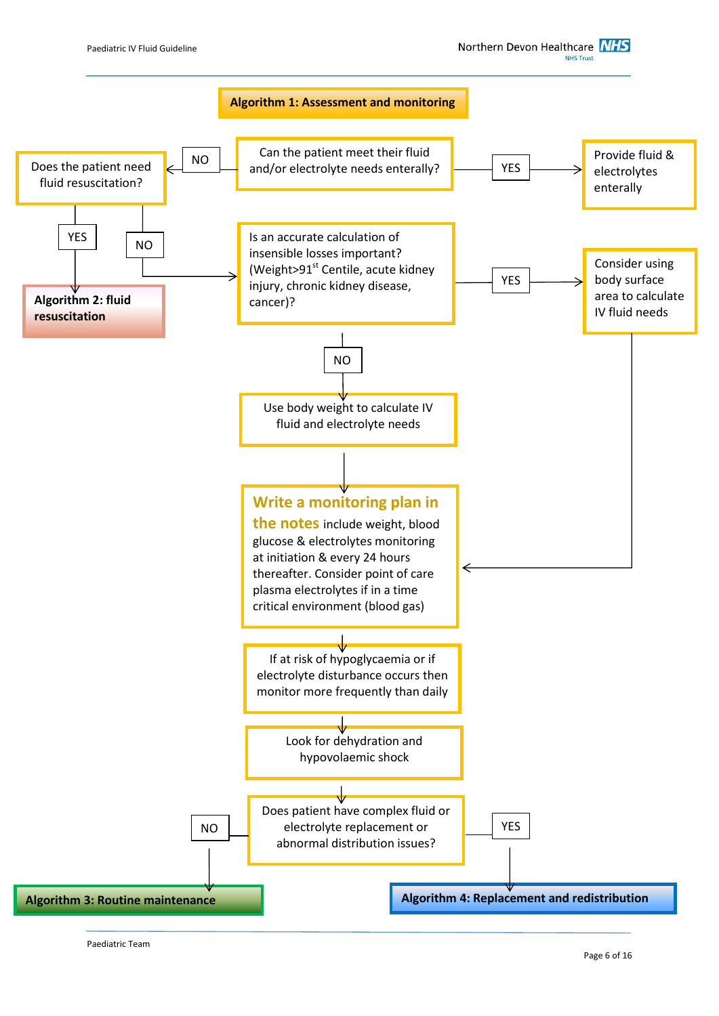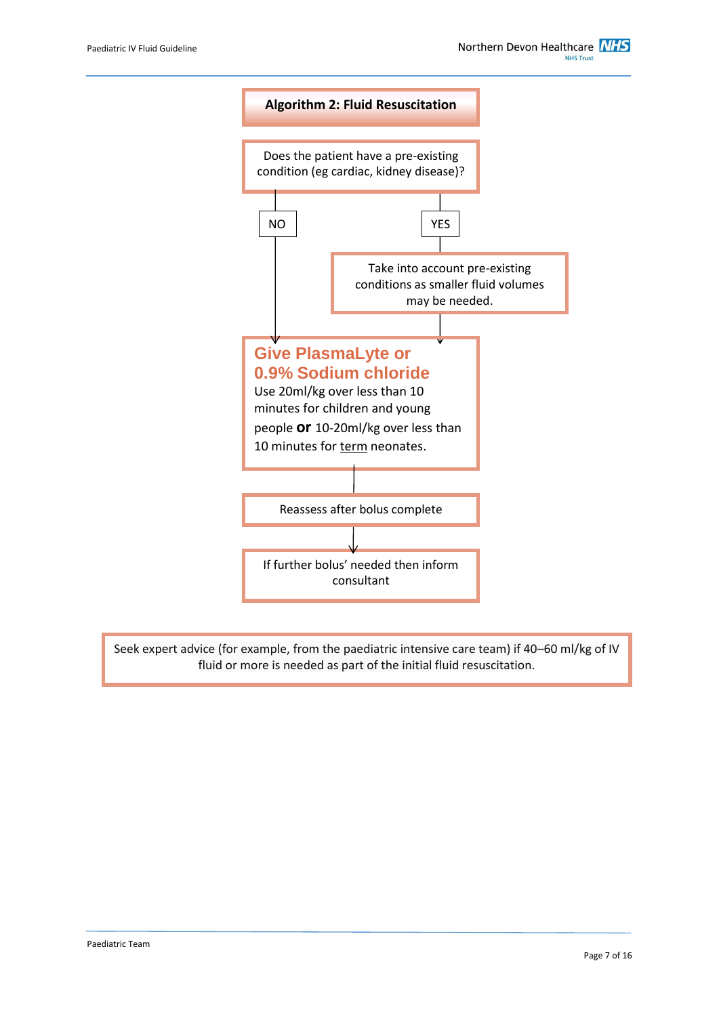

Seek expert advice (for example, from the paediatric intensive care team) if 40–60 ml/kg of IV fluid or more is needed as part of the initial fluid resuscitation.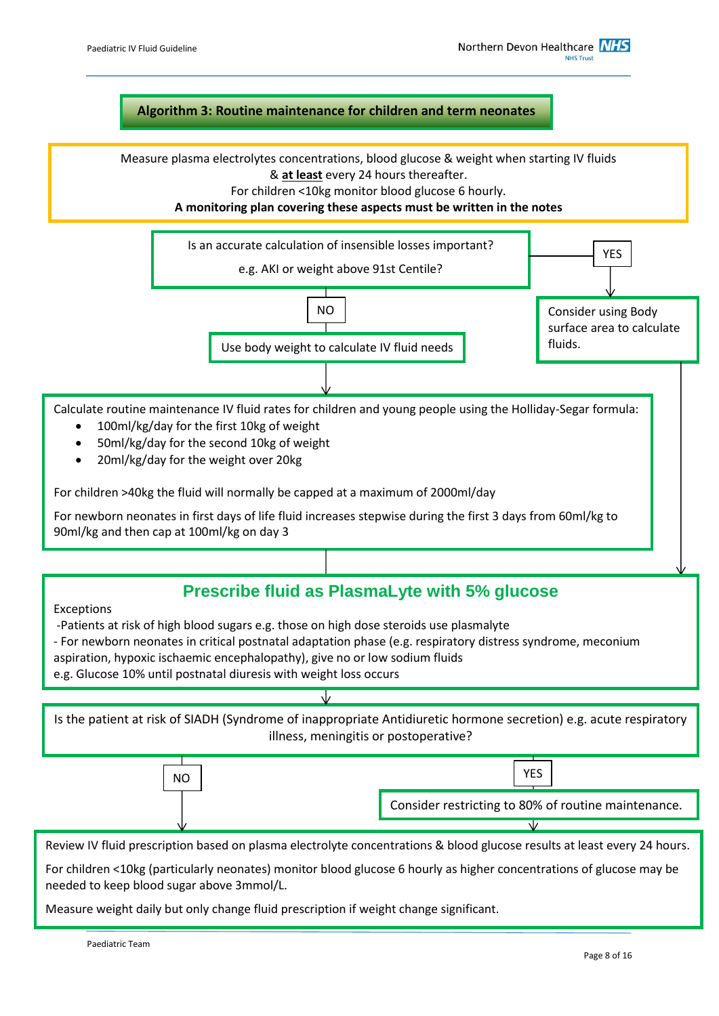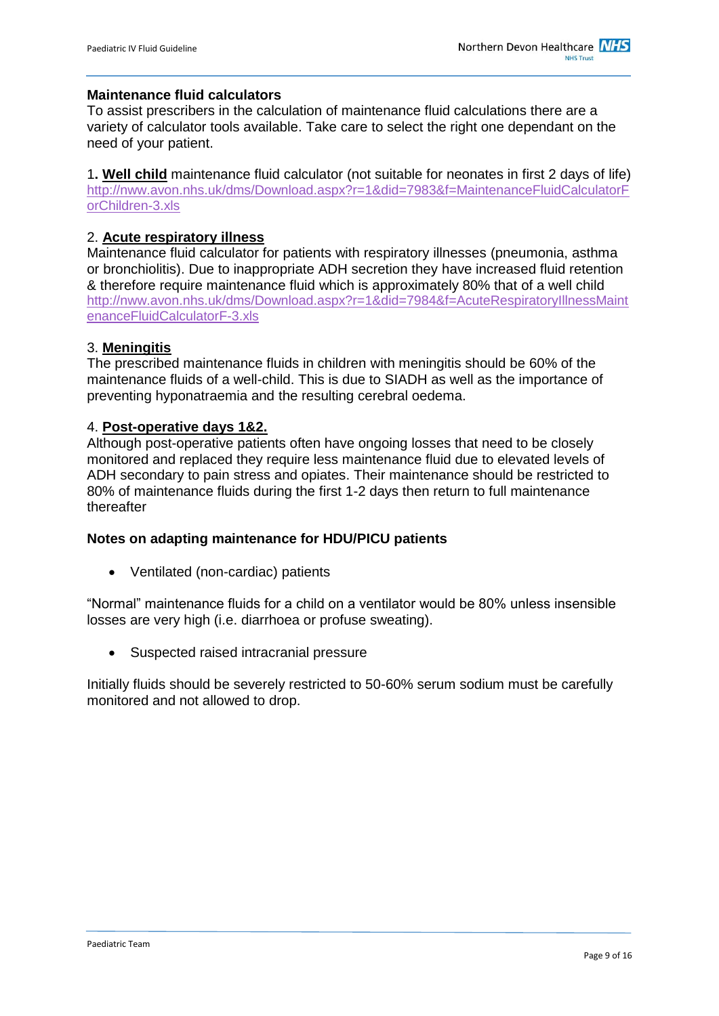#### **Maintenance fluid calculators**

To assist prescribers in the calculation of maintenance fluid calculations there are a variety of calculator tools available. Take care to select the right one dependant on the need of your patient.

1**. Well child** maintenance fluid calculator (not suitable for neonates in first 2 days of life) [http://nww.avon.nhs.uk/dms/Download.aspx?r=1&did=7983&f=MaintenanceFluidCalculatorF](http://nww.avon.nhs.uk/dms/Download.aspx?r=1&did=7983&f=MaintenanceFluidCalculatorForChildren-3.xls) [orChildren-3.xls](http://nww.avon.nhs.uk/dms/Download.aspx?r=1&did=7983&f=MaintenanceFluidCalculatorForChildren-3.xls)

#### 2. **Acute respiratory illness**

Maintenance fluid calculator for patients with respiratory illnesses (pneumonia, asthma or bronchiolitis). Due to inappropriate ADH secretion they have increased fluid retention & therefore require maintenance fluid which is approximately 80% that of a well child [http://nww.avon.nhs.uk/dms/Download.aspx?r=1&did=7984&f=AcuteRespiratoryIllnessMaint](http://nww.avon.nhs.uk/dms/Download.aspx?r=1&did=7984&f=AcuteRespiratoryIllnessMaintenanceFluidCalculatorF-3.xls) [enanceFluidCalculatorF-3.xls](http://nww.avon.nhs.uk/dms/Download.aspx?r=1&did=7984&f=AcuteRespiratoryIllnessMaintenanceFluidCalculatorF-3.xls)

#### 3. **Meningitis**

The prescribed maintenance fluids in children with meningitis should be 60% of the maintenance fluids of a well-child. This is due to SIADH as well as the importance of preventing hyponatraemia and the resulting cerebral oedema.

#### 4. **Post-operative days 1&2.**

Although post-operative patients often have ongoing losses that need to be closely monitored and replaced they require less maintenance fluid due to elevated levels of ADH secondary to pain stress and opiates. Their maintenance should be restricted to 80% of maintenance fluids during the first 1-2 days then return to full maintenance thereafter

#### **Notes on adapting maintenance for HDU/PICU patients**

Ventilated (non-cardiac) patients

"Normal" maintenance fluids for a child on a ventilator would be 80% unless insensible losses are very high (i.e. diarrhoea or profuse sweating).

Suspected raised intracranial pressure

Initially fluids should be severely restricted to 50-60% serum sodium must be carefully monitored and not allowed to drop.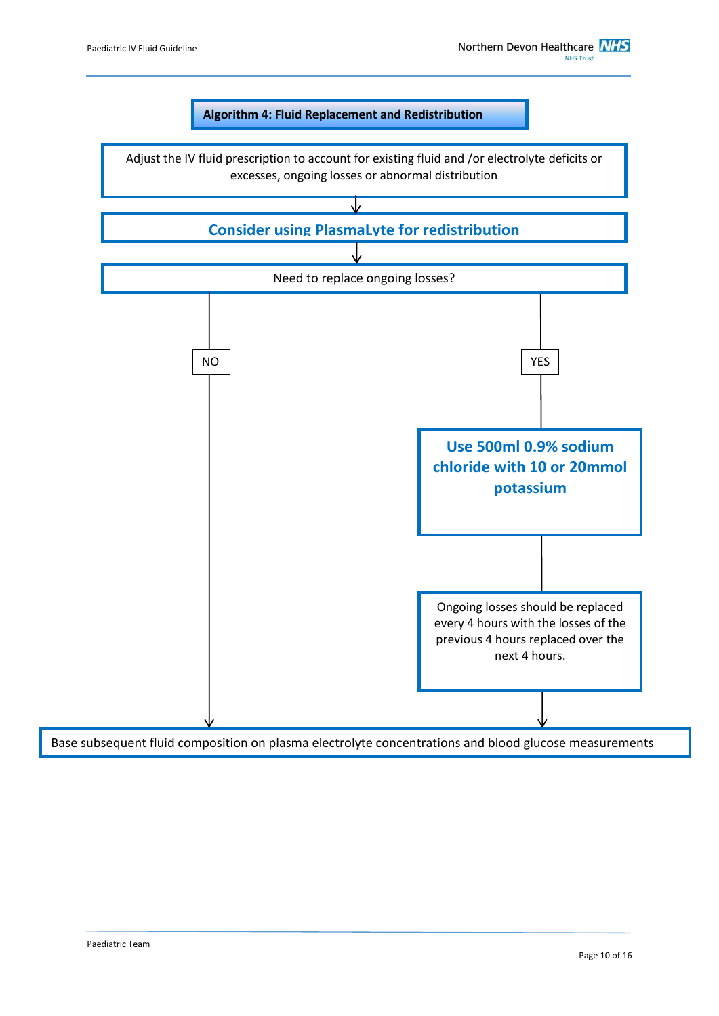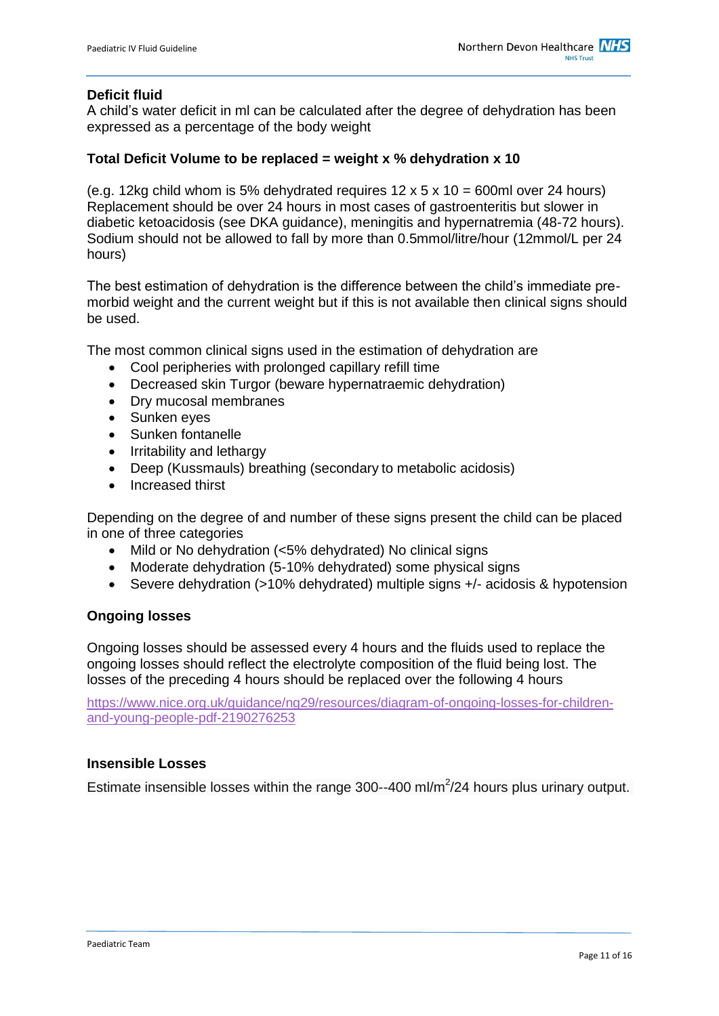#### **Deficit fluid**

A child's water deficit in ml can be calculated after the degree of dehydration has been expressed as a percentage of the body weight

#### **Total Deficit Volume to be replaced = weight x % dehydration x 10**

(e.g. 12kg child whom is 5% dehydrated requires  $12 \times 5 \times 10 = 600$ ml over 24 hours) Replacement should be over 24 hours in most cases of gastroenteritis but slower in diabetic ketoacidosis (see DKA guidance), meningitis and hypernatremia (48-72 hours). Sodium should not be allowed to fall by more than 0.5mmol/litre/hour (12mmol/L per 24 hours)

The best estimation of dehydration is the difference between the child's immediate premorbid weight and the current weight but if this is not available then clinical signs should be used.

The most common clinical signs used in the estimation of dehydration are

- Cool peripheries with prolonged capillary refill time
- Decreased skin Turgor (beware hypernatraemic dehydration)
- Dry mucosal membranes
- Sunken eyes
- Sunken fontanelle
- Irritability and lethargy
- Deep (Kussmauls) breathing (secondary to metabolic acidosis)
- Increased thirst

Depending on the degree of and number of these signs present the child can be placed in one of three categories

- Mild or No dehydration (<5% dehydrated) No clinical signs
- Moderate dehydration (5-10% dehydrated) some physical signs
- Severe dehydration (>10% dehydrated) multiple signs +/- acidosis & hypotension

#### **Ongoing losses**

Ongoing losses should be assessed every 4 hours and the fluids used to replace the ongoing losses should reflect the electrolyte composition of the fluid being lost. The losses of the preceding 4 hours should be replaced over the following 4 hours

[https://www.nice.org.uk/guidance/ng29/resources/diagram-of-ongoing-losses-for-children](https://www.nice.org.uk/guidance/ng29/resources/diagram-of-ongoing-losses-for-children-and-young-people-pdf-2190276253)[and-young-people-pdf-2190276253](https://www.nice.org.uk/guidance/ng29/resources/diagram-of-ongoing-losses-for-children-and-young-people-pdf-2190276253)

#### **Insensible Losses**

Estimate insensible losses within the range 300--400 ml/m<sup>2</sup>/24 hours plus urinary output.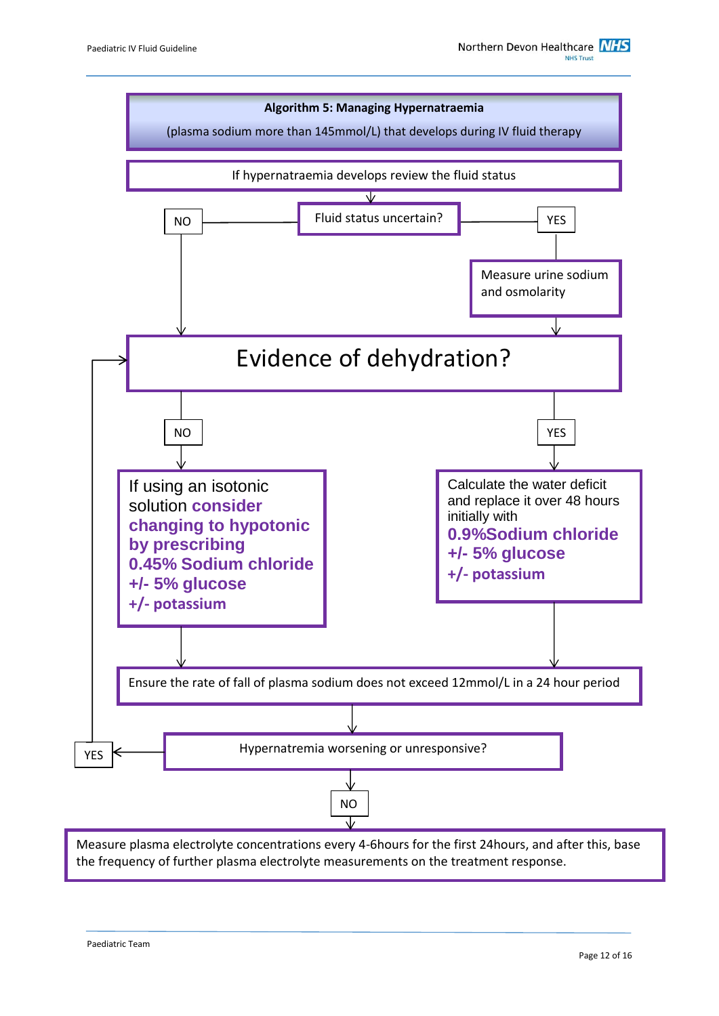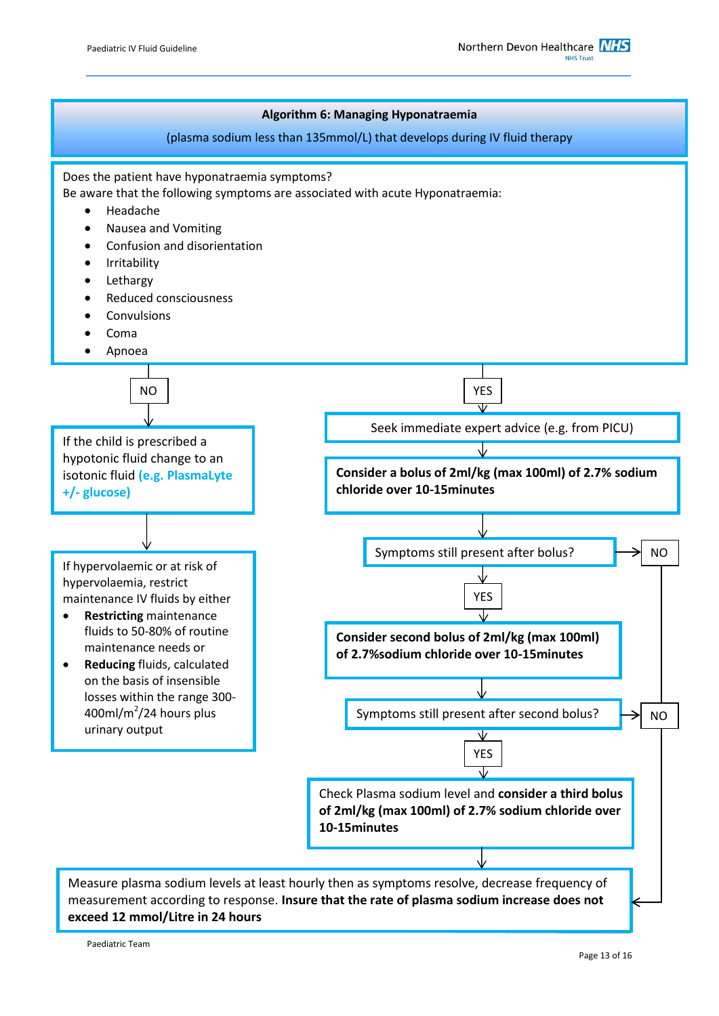

#### **exceed 12 mmol/Litre in 24 hours**

Paediatric Team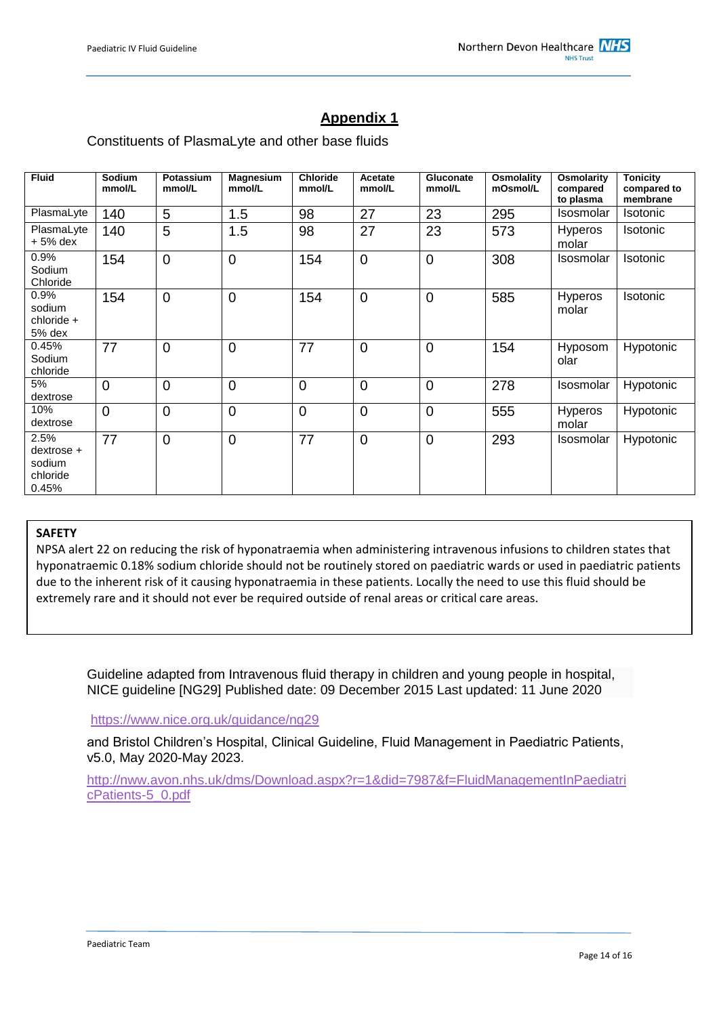### **Appendix 1**

#### Constituents of PlasmaLyte and other base fluids

| <b>Fluid</b>                                           | Sodium<br>mmol/L | Potassium<br>mmol/L | <b>Magnesium</b><br>mmol/L | <b>Chloride</b><br>mmol/L | Acetate<br>mmol/L | Gluconate<br>mmol/L | Osmolality<br>mOsmol/L | Osmolarity<br>compared<br>to plasma | <b>Tonicity</b><br>compared to<br>membrane |
|--------------------------------------------------------|------------------|---------------------|----------------------------|---------------------------|-------------------|---------------------|------------------------|-------------------------------------|--------------------------------------------|
| PlasmaLyte                                             | 140              | 5                   | 1.5                        | 98                        | 27                | 23                  | 295                    | Isosmolar                           | <b>Isotonic</b>                            |
| PlasmaLyte<br>$+5%$ dex                                | 140              | 5                   | 1.5                        | 98                        | 27                | 23                  | 573                    | <b>Hyperos</b><br>molar             | Isotonic                                   |
| 0.9%<br>Sodium<br>Chloride                             | 154              | $\mathbf 0$         | $\overline{0}$             | 154                       | $\mathbf 0$       | 0                   | 308                    | Isosmolar                           | Isotonic                                   |
| 0.9%<br>sodium<br>chloride +<br>5% dex                 | 154              | $\mathbf 0$         | 0                          | 154                       | $\mathbf 0$       | 0                   | 585                    | <b>Hyperos</b><br>molar             | Isotonic                                   |
| 0.45%<br>Sodium<br>chloride                            | 77               | $\mathbf 0$         | 0                          | 77                        | $\mathbf 0$       | 0                   | 154                    | Hyposom<br>olar                     | Hypotonic                                  |
| 5%<br>dextrose                                         | $\overline{0}$   | $\overline{0}$      | $\overline{0}$             | $\overline{0}$            | $\overline{0}$    | 0                   | 278                    | Isosmolar                           | Hypotonic                                  |
| 10%<br>dextrose                                        | $\overline{0}$   | $\overline{0}$      | $\overline{0}$             | $\overline{0}$            | $\overline{0}$    | $\overline{0}$      | 555                    | Hyperos<br>molar                    | Hypotonic                                  |
| 2.5%<br>$dex$ trose $+$<br>sodium<br>chloride<br>0.45% | 77               | $\mathbf 0$         | $\overline{0}$             | 77                        | $\overline{0}$    | $\overline{0}$      | 293                    | Isosmolar                           | Hypotonic                                  |

#### **SAFETY**

NPSA alert 22 on reducing the risk of hyponatraemia when administering intravenous infusions to children states that hyponatraemic 0.18% sodium chloride should not be routinely stored on paediatric wards or used in paediatric patients due to the inherent risk of it causing hyponatraemia in these patients. Locally the need to use this fluid should be extremely rare and it should not ever be required outside of renal areas or critical care areas.

Guideline adapted from Intravenous fluid therapy in children and young people in hospital, NICE guideline [NG29] Published date: 09 December 2015 Last updated: 11 June 2020

#### <https://www.nice.org.uk/guidance/ng29>

and Bristol Children's Hospital, Clinical Guideline, Fluid Management in Paediatric Patients, v5.0, May 2020-May 2023.

[http://nww.avon.nhs.uk/dms/Download.aspx?r=1&did=7987&f=FluidManagementInPaediatri](http://nww.avon.nhs.uk/dms/Download.aspx?r=1&did=7987&f=FluidManagementInPaediatricPatients-5_0.pdf) [cPatients-5\\_0.pdf](http://nww.avon.nhs.uk/dms/Download.aspx?r=1&did=7987&f=FluidManagementInPaediatricPatients-5_0.pdf)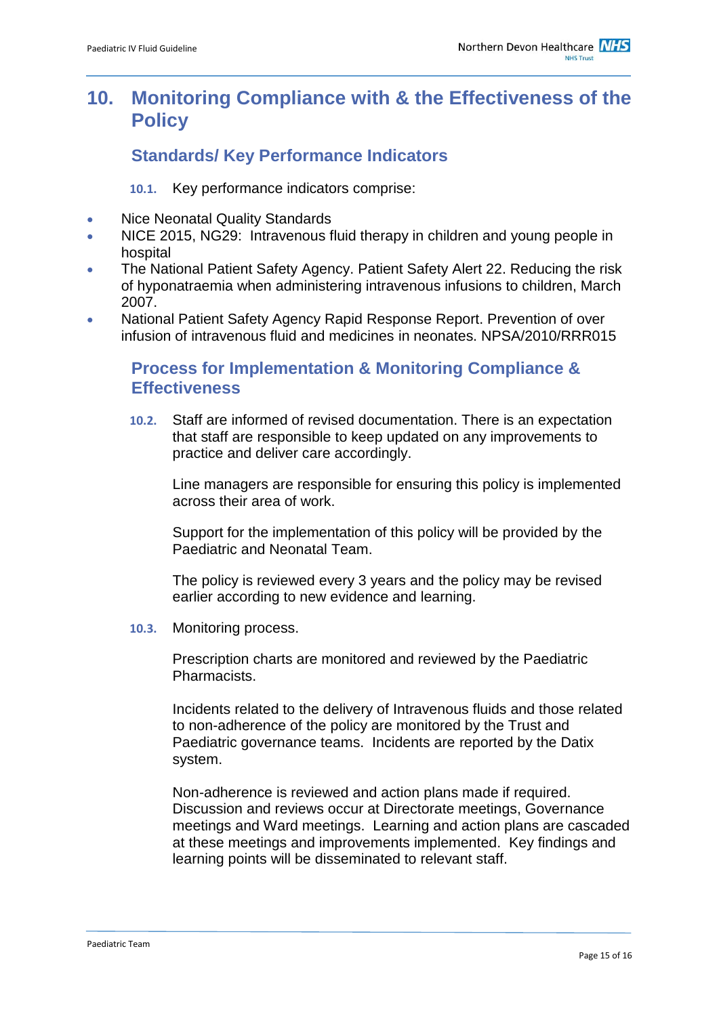### <span id="page-14-0"></span>**10. Monitoring Compliance with & the Effectiveness of the Policy**

### **Standards/ Key Performance Indicators**

**10.1.** Key performance indicators comprise:

- Nice Neonatal Quality Standards
- NICE 2015, NG29: Intravenous fluid therapy in children and young people in hospital
- The National Patient Safety Agency. Patient Safety Alert 22. Reducing the risk of hyponatraemia when administering intravenous infusions to children, March 2007.
- National Patient Safety Agency Rapid Response Report. Prevention of over infusion of intravenous fluid and medicines in neonates. NPSA/2010/RRR015

### **Process for Implementation & Monitoring Compliance & Effectiveness**

**10.2.** Staff are informed of revised documentation. There is an expectation that staff are responsible to keep updated on any improvements to practice and deliver care accordingly.

Line managers are responsible for ensuring this policy is implemented across their area of work.

Support for the implementation of this policy will be provided by the Paediatric and Neonatal Team.

The policy is reviewed every 3 years and the policy may be revised earlier according to new evidence and learning.

**10.3.** Monitoring process.

Prescription charts are monitored and reviewed by the Paediatric Pharmacists.

Incidents related to the delivery of Intravenous fluids and those related to non-adherence of the policy are monitored by the Trust and Paediatric governance teams. Incidents are reported by the Datix system.

Non-adherence is reviewed and action plans made if required. Discussion and reviews occur at Directorate meetings, Governance meetings and Ward meetings. Learning and action plans are cascaded at these meetings and improvements implemented. Key findings and learning points will be disseminated to relevant staff.